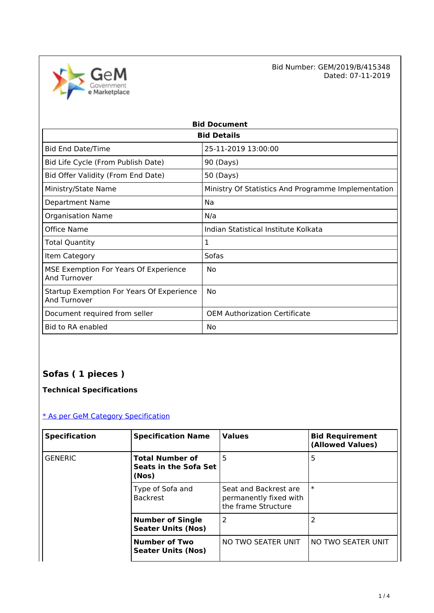

Bid Number: GEM/2019/B/415348<br>Dated: 07-11-2019 Dated: 07-11-2019

|                                                           | <b>Bid Document</b>                                 |
|-----------------------------------------------------------|-----------------------------------------------------|
|                                                           | <b>Bid Details</b>                                  |
| <b>Bid End Date/Time</b>                                  | 25-11-2019 13:00:00                                 |
| Bid Life Cycle (From Publish Date)                        | 90 (Days)                                           |
| Bid Offer Validity (From End Date)                        | 50 (Days)                                           |
| Ministry/State Name                                       | Ministry Of Statistics And Programme Implementation |
| Department Name                                           | Na                                                  |
| <b>Organisation Name</b>                                  | N/a                                                 |
| Office Name                                               | Indian Statistical Institute Kolkata                |
| Total Quantity                                            | 1                                                   |
| Item Category                                             | Sofas                                               |
| MSE Exemption For Years Of Experience<br>And Turnover     | No                                                  |
| Startup Exemption For Years Of Experience<br>And Turnover | No                                                  |
| Document required from seller                             | <b>OEM Authorization Certificate</b>                |
| Bid to RA enabled                                         | No                                                  |

# **Sofas ( 1 pieces )**

**Technical Specifications**

### [\\* As per GeM Category Specification](https://bidplus.gem.gov.in/bidding/bid/showCatalogue/NWd0LW0deEifDlKRFZlHblkuoArcmBlDLnIrTsSiBnU)

| <b>Specification</b> | <b>Specification Name</b>                                | <b>Values</b>                                                          | <b>Bid Requirement</b><br>(Allowed Values) |
|----------------------|----------------------------------------------------------|------------------------------------------------------------------------|--------------------------------------------|
| <b>GENERIC</b>       | <b>Total Number of</b><br>Seats in the Sofa Set<br>(Nos) | 5                                                                      | 5                                          |
|                      | Type of Sofa and<br><b>Backrest</b>                      | Seat and Backrest are<br>permanently fixed with<br>the frame Structure | $\ast$                                     |
|                      | <b>Number of Single</b><br><b>Seater Units (Nos)</b>     | 2                                                                      |                                            |
|                      | <b>Number of Two</b><br><b>Seater Units (Nos)</b>        | NO TWO SEATER UNIT                                                     | NO TWO SEATER UNIT                         |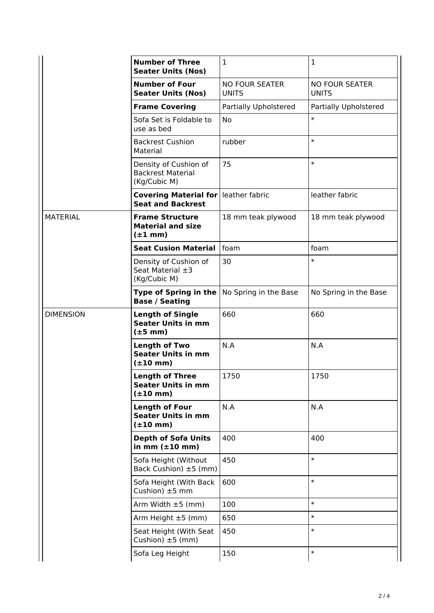|                  | <b>Number of Three</b><br><b>Seater Units (Nos)</b>                          | 1                                     | $\mathbf{1}$                          |
|------------------|------------------------------------------------------------------------------|---------------------------------------|---------------------------------------|
|                  | <b>Number of Four</b><br><b>Seater Units (Nos)</b>                           | <b>NO FOUR SEATER</b><br><b>UNITS</b> | <b>NO FOUR SEATER</b><br><b>UNITS</b> |
|                  | <b>Frame Covering</b>                                                        | <b>Partially Upholstered</b>          | Partially Upholstered                 |
|                  | Sofa Set is Foldable to<br>use as bed                                        | No                                    | $\ast$                                |
|                  | <b>Backrest Cushion</b><br>Material                                          | rubber                                | $\ast$                                |
|                  | Density of Cushion of<br><b>Backrest Material</b><br>(Kg/Cubic M)            | 75                                    | $\ast$                                |
|                  | <b>Covering Material for leather fabric</b><br><b>Seat and Backrest</b>      |                                       | leather fabric                        |
| <b>MATERIAL</b>  | <b>Frame Structure</b><br><b>Material and size</b><br>$(\pm 1$ mm)           | 18 mm teak plywood                    | 18 mm teak plywood                    |
|                  | <b>Seat Cusion Material</b>                                                  | foam                                  | foam                                  |
|                  | Density of Cushion of<br>Seat Material $\pm 3$<br>(Kg/Cubic M)               | 30                                    | $\ast$                                |
|                  | <b>Type of Spring in the</b><br><b>Base / Seating</b>                        | No Spring in the Base                 | No Spring in the Base                 |
| <b>DIMENSION</b> | <b>Length of Single</b><br><b>Seater Units in mm</b><br>$(\pm 5 \text{ mm})$ | 660                                   | 660                                   |
|                  | <b>Length of Two</b><br><b>Seater Units in mm</b><br>$(\pm 10$ mm)           | N.A                                   | N.A                                   |
|                  | <b>Length of Three</b><br><b>Seater Units in mm</b><br>$(\pm 10$ mm)         | 1750                                  | 1750                                  |
|                  | <b>Length of Four</b><br><b>Seater Units in mm</b><br>$(\pm 10$ mm)          | N.A                                   | N.A                                   |
|                  | <b>Depth of Sofa Units</b><br>in mm $(\pm 10$ mm)                            | 400                                   | 400                                   |
|                  | Sofa Height (Without<br>Back Cushion) ±5 (mm)                                | 450                                   | $\ast$                                |
|                  | Sofa Height (With Back<br>Cushion) $±5$ mm                                   | 600                                   | $\ast$                                |
|                  | Arm Width $\pm 5$ (mm)                                                       | 100                                   | $\ast$                                |
|                  | Arm Height $\pm 5$ (mm)                                                      | 650                                   | $\ast$                                |
|                  | Seat Height (With Seat<br>Cushion) $\pm 5$ (mm)                              | 450                                   | $\ast$                                |
|                  | Sofa Leg Height                                                              | 150                                   | $\ast$                                |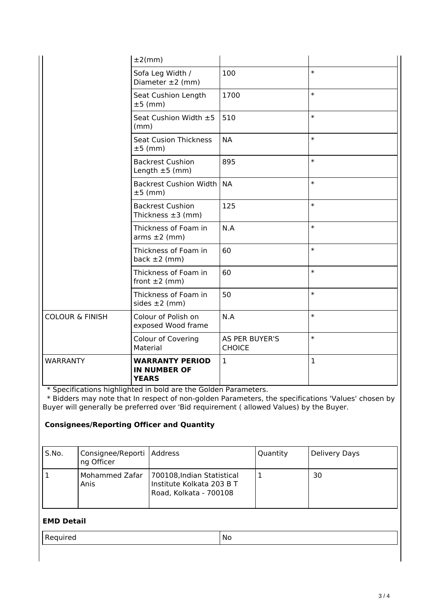|                            | $±2$ (mm)                                                     |                                 |              |
|----------------------------|---------------------------------------------------------------|---------------------------------|--------------|
|                            | Sofa Leg Width /<br>Diameter $\pm 2$ (mm)                     | 100                             | $\ast$       |
|                            | Seat Cushion Length<br>$±5$ (mm)                              | 1700                            | $\ast$       |
|                            | Seat Cushion Width ±5<br>(mm)                                 | 510                             | $\ast$       |
|                            | <b>Seat Cusion Thickness</b><br>$±5$ (mm)                     | <b>NA</b>                       | $\ast$       |
|                            | <b>Backrest Cushion</b><br>Length $\pm 5$ (mm)                | 895                             | $\ast$       |
|                            | Backrest Cushion Width<br>$±5$ (mm)                           | <b>NA</b>                       | $\ast$       |
|                            | <b>Backrest Cushion</b><br>Thickness $\pm 3$ (mm)             | 125                             | $\ast$       |
|                            | Thickness of Foam in<br>$arms \pm 2$ (mm)                     | N.A                             | $\ast$       |
|                            | Thickness of Foam in<br>back $\pm 2$ (mm)                     | 60                              | $\ast$       |
|                            | Thickness of Foam in<br>front $\pm 2$ (mm)                    | 60                              | $\ast$       |
|                            | Thickness of Foam in<br>sides $\pm 2$ (mm)                    | 50                              | $\ast$       |
| <b>COLOUR &amp; FINISH</b> | Colour of Polish on<br>exposed Wood frame                     | N.A                             | $\ast$       |
|                            | <b>Colour of Covering</b><br>Material                         | AS PER BUYER'S<br><b>CHOICE</b> | $\ast$       |
| <b>WARRANTY</b>            | <b>WARRANTY PERIOD</b><br><b>IN NUMBER OF</b><br><b>YEARS</b> | $\mathbf{1}$                    | $\mathbf{1}$ |

\* Specifications highlighted in bold are the Golden Parameters.

 \* Bidders may note that In respect of non-golden Parameters, the specifications 'Values' chosen by Buyer will generally be preferred over 'Bid requirement ( allowed Values) by the Buyer.

#### **Consignees/Reporting Officer and Quantity**

| S.No. | Consignee/Reporti   Address<br>ng Officer |                                                                                                    | Quantity | Delivery Days |
|-------|-------------------------------------------|----------------------------------------------------------------------------------------------------|----------|---------------|
|       | Anis                                      | Mohammed Zafar   700108, Indian Statistical<br>Institute Kolkata 203 B T<br>Road, Kolkata - 700108 |          | 30            |

#### **EMD Detail**

| -<br>. <b>.</b> .<br>.No<br>rea<br>. |
|--------------------------------------|
|--------------------------------------|